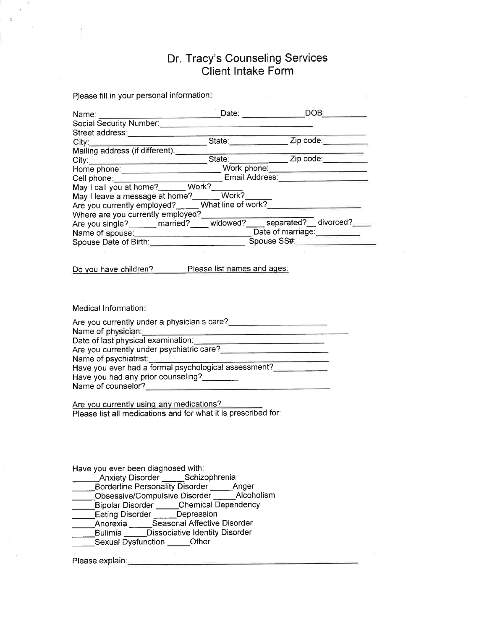# Dr. Tracy's Counseling Services Client lntake Form

 $\approx$  Please fill in your personal information: Name: \_\_\_\_\_\_\_\_\_\_\_\_\_\_\_\_\_\_\_\_\_\_\_\_\_\_\_\_\_\_\_\_Date: Social Security Number: Street address State:\_ Zip code:- Mailing address (if different): Malinity additions (if differently).<br>City:\_\_\_\_\_\_\_\_\_\_\_\_\_\_\_\_\_\_\_\_\_\_\_\_\_\_\_\_\_\_\_\_State:\_\_\_\_\_\_\_\_\_\_\_\_\_\_\_\_\_\_\_Zip code:\_\_\_\_\_\_\_\_\_\_ My. Work Manual Manual Manual Manual Manual Manual Manual Manual Manual Manual Manual Manual Manual Manual Manual Manual Manual Manual Manual Manual Manual Manual Manual Manual Manual Manual Manual Manual Manual Manual Man Cell phone:\_\_\_\_\_\_\_\_\_\_\_\_\_\_\_\_\_\_\_\_\_\_\_\_\_\_\_\_\_ Email Address May I call you at home?\_\_\_\_\_\_ Work? May I leave a message at home? Are you currently employed?<sub>----</sub> What  $\overline{\text{Work?}}$ line of work? Where are you currently employed? Are you single? married? widowed? separated?\_ divorced? Name of Date of marriage:\_ Spouse Date of Birth: Spouse SS#: Do you have children? Please list names and ages: Medical Information: Are you currently under a physician's care?<br>
<u>Example 2008</u> Name of Date of last physical examination: Are you currently under psychiatric care? Name of psychiatrist: Have you ever had a formal psychological assessment?

Are you currently using any medications? Please list all medications and for what it is prescribed for:

Have you ever been diagnosed with:

Name of counselor?

Anxiety Disorder \_\_\_\_\_Schizophrenia

Have you had any prior counseling?

Borderline Personality Disorder \_\_\_\_\_Anger

- Obsessive/Compulsive Disorder \_\_\_\_\_\_Alcoholism
- -SchizoPhren \_Bipolar Dlsorder \_Chemical Dependency
- **Eating Disorder Depression**
- Anorexia \_\_\_\_\_Seasonal Affective Disorder
- Bulimia **Dissociative Identity Disorder** Sexual Dysfunction \_\_\_\_\_Other
- 

Please explain: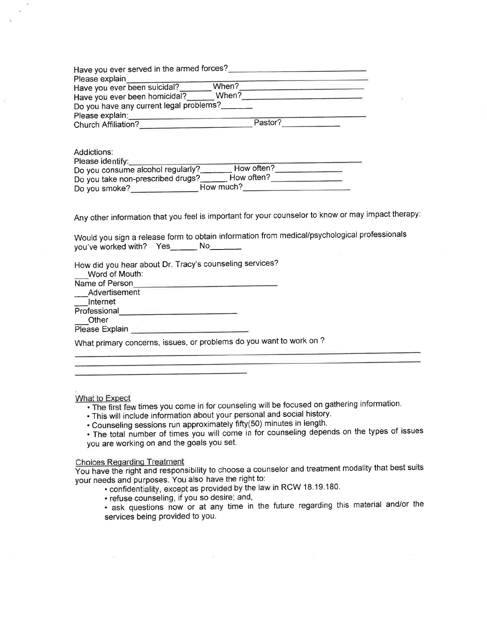| Have you ever served in the armed forces?<br>Please explain<br>Have you ever been suicidal?<br>Have you ever been homicidal?<br>Do you have any current legal problems?<br>Please explain: | When?<br>When? |         |  |
|--------------------------------------------------------------------------------------------------------------------------------------------------------------------------------------------|----------------|---------|--|
| <b>Church Affiliation?</b>                                                                                                                                                                 |                | Pastor? |  |

| Addictions:                       |            |
|-----------------------------------|------------|
| Please identify:                  |            |
| Do you consume alcohol regularly? | How often? |
| Do you take non-prescribed drugs? | How often? |
| How much?<br>Do you smoke?        |            |

Any other information that you feel is important for your counselor to know or may impact therapy:

Would you sign a release form to obtaín information from medical/psychological professionals you've worked with? Yes\_\_\_\_\_\_ No\_\_\_\_\_\_

How did you hear about Dr. Tracy's counseling services? Word of Mouth:

Name of Person Advertisement \_lnternet Professional **Professional Other** 

Please Explain

What primary concerns, issues, or problems do you want to work on ?

What to Expect

. The first few times you come in for counseling will be focused on gathering information.

. This will include information about your personal and social history.

. Counseling sessions run approximately fifty(50) minutes in length.

. The total number of times you will come in for counseling depends on the types of issues you are working on and the goals you set.

## Choices Reqardinq Treatment

You have the right and responsibility to choose a counselor and treatment modality that best suits your needs and purposes. You also have the right to: '

. confidentiality, except as provided by the law in RCW 18.19.180.

. refuse counseling, if you so desire; and,

. ask questions now or at any time in the future regarding this material andlor the services being provided to you.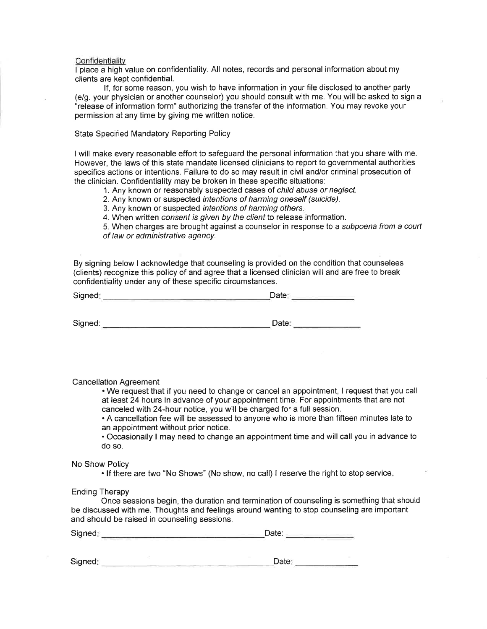#### **Confidentiality**

I place a high value on confidentiality. All notes, records and personal information about my clients are kept confidential.

lf, for some reason, you wish to have information in your file disclosed to another party (e/9. your physician or another counselor) you should consult with me. You.will be asked to sign a "release of information form" authorizing the transfer of the information. You may revoke your permission at any time by giving me written notice.

State Specified Mandatory Reporting Policy

I will make every reasonable effort to safeguard the personal information that you share with me. However, the laws of this state mandate licensed clinicians to report to governmental authorities specifics actions or intentíons. Failure to do so may result in civil and/or criminal prosecution of the clinician. Confidentiality may be broken in these specific situations:

1. Any known or reasonably suspected cases of child abuse or neglect.

2. Any known or suspected intentions of harming oneself (suicide).

3. Any known or suspected intentions of harming others.

4. When written consent is given by the client to release information.

5. When charges are brought against a counselor in response to a subpoena from a courf of law or administrative agency.

By signing below I acknowledge that counseling is provided on the condition that counselees (clients) recognize this policy of and agree that a licensed clinician will and are free to break confidentiality under any of these specific circumstances.

| Signed: | Date:<br>the contract of the contract of the<br>--- |  |  |
|---------|-----------------------------------------------------|--|--|
|         |                                                     |  |  |
| Signed: | Date:                                               |  |  |

Cancellation Agreement

. We request that if you need to change or cancel an appointment, I request that you call at least 24 hours in advance of your appointment time. For appointments that are not canceled with 24-hour notice, you will be charged for a full session.

. A cancellation fee will be assessed to anyone who is more than fifteen minutes late to an appointment without prior notice.

. Occasionally I may need to change an appointment time and will call you in advance to do so.

### No Show Policy

. lf there are two "No Shows" (No show, no call) I reserve the right to stop service

#### Ending Therapy

Once sessions begin, the duration and termination of counseling is somethíng that should be discussed with me. Thoughts and feelings around wanting to stop counseling are important and should be raised in counseling sessions.

| Signed: | ⊃ate: |  |  |
|---------|-------|--|--|
| ______  |       |  |  |

| Signed: | Date: |  |
|---------|-------|--|
|         |       |  |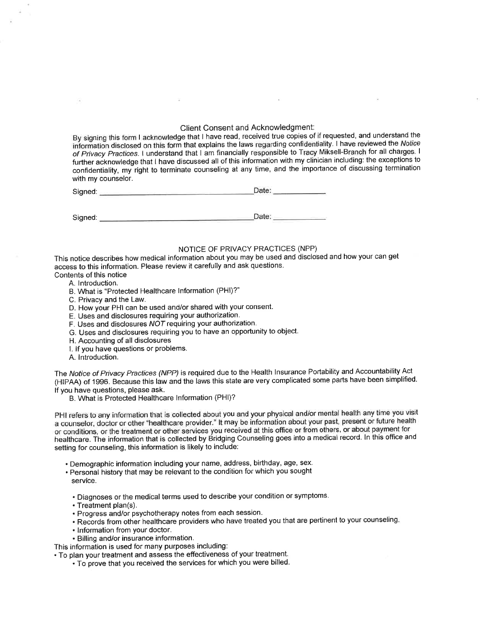## Client Consent and Acknowledgment:

By signing this form I acknowledge that I have read, received true copies of if requested, and understand the information disclosed on this form that explains the laws regarding confidentiality. I have reviewed the Notice of Privacy Practices.l understand that I am financially responsible to Tracy Miksell-Branch for all charges' <sup>I</sup> further acknowledge that I have discussed all of this information with my clinician including: the exceptions to confidentiality, my right to terminate counseling at any time, and the importance of discussing termination with my counselor.

Signed:

Date: **Date** 

Signed: Date:

## NOTICE OF PRIVACY PRACTICES (NPP)

This notice describes how medical information about you may be used and disclosed and how your can get access to this information. Please review it carefully and ask questions.

- Contents of this notice
	- A. lntroduction. B. What is "Protected Healthcare Information (PHl)?"
	- C. Privacy and the Law.
	- D. How your PHI can be used and/or shared with your consent.
	- E. Uses and disclosures requiring your authorization.
	- F. Uses and disclosures  $NOT$  requiring your authorization.
	- G. Uses and disclosures requiring you to have an opportunity to object.
	- H. Accounting of all disclosures
	- l. lf you have questions or problems.
	- A. lntroduction.

The Notice of Privacy Practices (NPP) is required due to the Health Insurance Portability and Accountability Act (HIPAA) of 1996. Because this law and the laws this state are very complicated some parts have been simplified. lf you have questions, please ask.

B. What is Protected Healthcare lnformation (PHl)?

PHI refers to any information that is collected about you and your physical and/or mental health any time you visit a counselor, doctor or other "healthcare provider." It may be information about your past, present or future health or conditions, or the treatment or other services you received at this office or from others, or about payment for healthcare. The information that is collected by Éridging Counseling goes into a medical record. ln this office and setting for counseling, this information is likely to include:

- . Demographic information including your name, address, birthday, age, sex.
- . Personal history that may be relevant to the condition for which you sought service.

. Diagnoses or the medical terms used to describe your condition or symptoms.

- . Treatment plan(s).
- . Progress and/or psychotherapy notes from each session.
- . Records from other healthcare providers who have treated you that are pertinent to your counseling.
- . lnformation from your doctor.
- . Billing andlor insurance information.

This information is used for many purposes including:

. To plan your treatment and assess the effectiveness of your treatment.

. To prove that you received the services for which you were billed.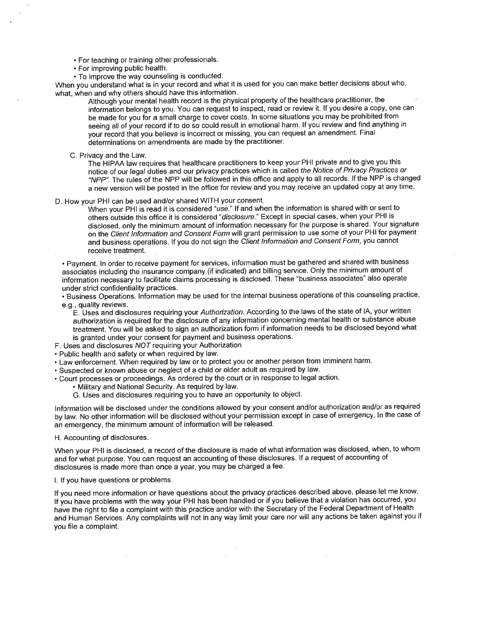- . For teaching or training other professionals.
- . For improving public health.
- . To improve the way counseling is eonducted.

When you understand what is in your record and what it is used for you can make better decisions about who, what, when and why others should have this information.

Although your mental health record is the physical property of the healthcare practitioner, the information belongs to you. You can request to inspect, read or review it. If you desire a copy, one can be made for you for a small charge to cover costs. ln some situations you may be prohibited from seeing all of your record if to do so could result in emotional harm. If you review and find anything in your record that you believe is incorrect or missing, you can request an amendment. Final determinations on amendments are made by the practitioner.

C. Privacy and the Law.

The HIPAA law requires that healthcare practitioners to keep your PHI private and to give you this notice of our legal duties and our privacy practices which is called fhe Notice of Privacy Practices or "NPP". The rules of the NPP will be followed in this office and apply to all records. If the NPP is changed a new version will be posted in the office for review and you may receive an updated copy at any time.

D. How your PHI can be used and/or shared WITH your consent.

When your PHI is read it is considered "use." If and when the information is shared with or sent to others outside this office it is considered "disclosure." Except in special cases, when your PHI is disclosed, only the minimum amount of information necessary for the purpose is shared. Your signature on the Client Information and Consent Form will grant permission to use some of your PHI for payment and business operations. If you do not sign the Client Information and Consent Form, you cannot receive treatment.

. Payment. ln order to receive payment for services, information must be gathered and shared with business associates including the insurance company (if indicated) and billing service. Only the minimum amount of information necessãry to facilitate claims processing is disclosed. These "business associates" also operate under strict confidentiality practices.

. Business Operations. Information may be used for the internal business operations of this counseling practice, e.9., quality reviews.

E. Uses and disclosures requiring your Authorization. According to the laws of the state of IA, your written authorization is required for the disclosure of any information concerning mental health or substance abuse treatment. You will be asked to sign an authorization form if information needs to be disclosed beyond what is granted under your consent for payment and business operations.

- F. Uses and disclosures NOT requiring your Authorization
- . Public health and safety or when required by law.
- . Law enforcement. When required by law or to protect you or another person from imminent harm.
- . Suspected or known abuse or neglect of a child or older adult as required by law'
- . Court processes or proceedings. As ordered by the court or in response to legal action.
	- . Military and National Security. As required by law.
	- G. Uses and disclosures requiring you to have an opportunity to object.

lnformation will be disclosed under the conditions allowed by your consent and/or authorization and/or as required by law. No other information will be disclosed without your permission except in case of emergency. ln the case of an emergency, the mínimum amount of information will be released.

H. Accounting of disclosures.

When your PHI is disclosed, a record of the disclosure is made of what information was disclosed, when, to whom and for what purpose. You can request an accounting of these disclosures. If a request of accounting of disclosures is made more than once a year, you may be charged a fee.

l. lf you have questions or problems,

If you need more information or have questions about the privacy practices described above, please let me know. lf you have problems with the way your PHI has been handled or if you believe that a violation has occurred, you have the right to file a complaint with this practice and/or with the Secretary of the Federal Department of Health and Humañ Services. Any complaints will not in any way limit your care nor will any actions be taken against you if you file a complaint.